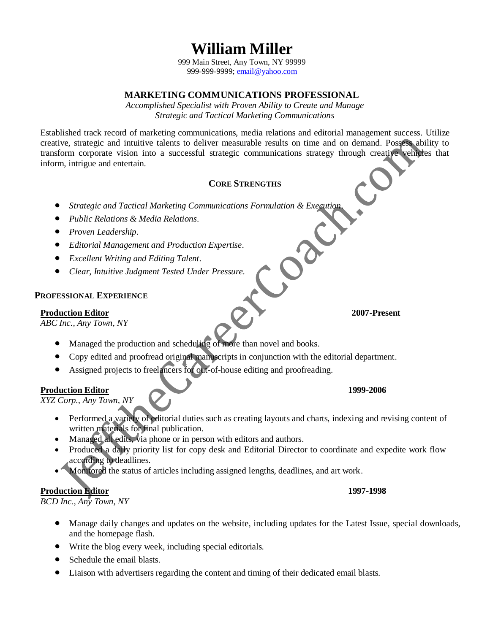**William Miller**

999 Main Street, Any Town, NY 99999 999-999-9999[; email@yahoo.com](mailto:email@yahoo.com)

# **MARKETING COMMUNICATIONS PROFESSIONAL**

*Accomplished Specialist with Proven Ability to Create and Manage Strategic and Tactical Marketing Communications*

Established track record of marketing communications, media relations and editorial management success. Utilize creative, strategic and intuitive talents to deliver measurable results on time and on demand. Possess ability to transform corporate vision into a successful strategic communications strategy through creative vehicles that inform, intrigue and entertain.

# **CORE STRENGTHS**

- <ul>\n<li> <i>Strategy of a</i> <i>Strategy of a</i> <i>Strategy of a</i> <i>Strategy of a</i> <i>Output</i></li>\n<li> <i>Public Relations &amp; Media Relations.</i></li>\n<li> <i>Proven leadership.</i></li>\n<li> <i>Editorial Management and Production Experience.</i></li>\n<li> <i>Exception of a</i> <i>Exercise.</i></li>\n<li> <i>Exception of a</i> <i>Exercise.</i></li>\n<li> <i>Exception of a</i> <i>Example 2</i></li>\n<li> <i>Example 3</i> <i>Example 4</i></li>\n<li> <i>Example 4</i> <i>Example 5</i></li>\n<li> <i>Example 6</i
- *Public Relations & Media Relations.*
- *Proven Leadership.*
- *Editorial Management and Production Expertise.*
- *Excellent Writing and Editing Talent.*
- *Clear, Intuitive Judgment Tested Under Pressure.*

# **PROFESSIONAL EXPERIENCE**

#### **Production Editor 2007-Present**

*ABC Inc., Any Town, NY*

- Managed the production and scheduling of more than novel and books.
- Copy edited and proofread original manuscripts in conjunction with the editorial department.
- Assigned projects to freelancers for out-of-house editing and proofreading.

# **Production Editor 1999-2006**

*XYZ Corp., Any Town, NY*

- Performed a variety of editorial duties such as creating layouts and charts, indexing and revising content of written materials for final publication.
- Managed all edits, via phone or in person with editors and authors.
- Produced a daily priority list for copy desk and Editorial Director to coordinate and expedite work flow according to deadlines.
- Monitored the status of articles including assigned lengths, deadlines, and art work.

# **Production Editor 1997-1998**

*BCD Inc., Any Town, NY*

- Manage daily changes and updates on the website, including updates for the Latest Issue, special downloads, and the homepage flash.
- Write the blog every week, including special editorials.
- Schedule the email blasts.
- Liaison with advertisers regarding the content and timing of their dedicated email blasts.